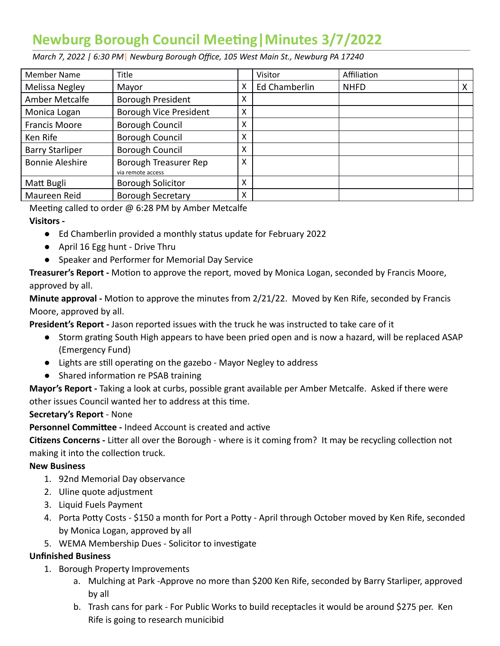# **Newburg Borough Council Meeng|Minutes 3/7/2022**

 *March 7, 2022 | 6:30 PM* | *Newburg Borough Office, 105 West Main St., Newburg PA 17240* 

| Member Name            | Title                                      |   | Visitor       | Affiliation |   |
|------------------------|--------------------------------------------|---|---------------|-------------|---|
| Melissa Negley         | Mayor                                      | х | Ed Chamberlin | <b>NHFD</b> | X |
| Amber Metcalfe         | Borough President                          | X |               |             |   |
| Monica Logan           | <b>Borough Vice President</b>              | X |               |             |   |
| <b>Francis Moore</b>   | Borough Council                            | X |               |             |   |
| Ken Rife               | Borough Council                            | X |               |             |   |
| <b>Barry Starliper</b> | Borough Council                            | X |               |             |   |
| <b>Bonnie Aleshire</b> | Borough Treasurer Rep<br>via remote access | X |               |             |   |
| Matt Bugli             | <b>Borough Solicitor</b>                   | X |               |             |   |
| Maureen Reid           | <b>Borough Secretary</b>                   | X |               |             |   |

Meeting called to order  $\omega$  6:28 PM by Amber Metcalfe

#### **Visitors -**

- Ed Chamberlin provided a monthly status update for February 2022
- April 16 Egg hunt Drive Thru
- Speaker and Performer for Memorial Day Service

**Treasurer's Report -** Motion to approve the report, moved by Monica Logan, seconded by Francis Moore, approved by all.

**Minute approval -** Motion to approve the minutes from 2/21/22. Moved by Ken Rife, seconded by Francis Moore, approved by all.

 **President's Report -** Jason reported issues with the truck he was instructed to take care of it

- Storm grating South High appears to have been pried open and is now a hazard, will be replaced ASAP (Emergency Fund)
- Lights are still operating on the gazebo Mayor Negley to address
- Shared information re PSAB training

 **Mayor's Report -** Taking a look at curbs, possible grant available per Amber Metcalfe. Asked if there were other issues Council wanted her to address at this time.

## **Secretary's Report** - None

**Personnel Committee - Indeed Account is created and active** 

**Citizens Concerns** - Litter all over the Borough - where is it coming from? It may be recycling collection not making it into the collection truck.

#### **New Business**

- 1. 92nd Memorial Day observance
- 2. Uline quote adjustment
- 3. Liquid Fuels Payment
- 4. Porta Potty Costs \$150 a month for Port a Potty April through October moved by Ken Rife, seconded by Monica Logan, approved by all
- 5. WEMA Membership Dues Solicitor to investigate

## **Unfinished Business**

- 1. Borough Property Improvements
	- a. Mulching at Park -Approve no more than \$200 Ken Rife, seconded by Barry Starliper, approved by all
	- b. Trash cans for park For Public Works to build receptacles it would be around \$275 per. Ken Rife is going to research municibid